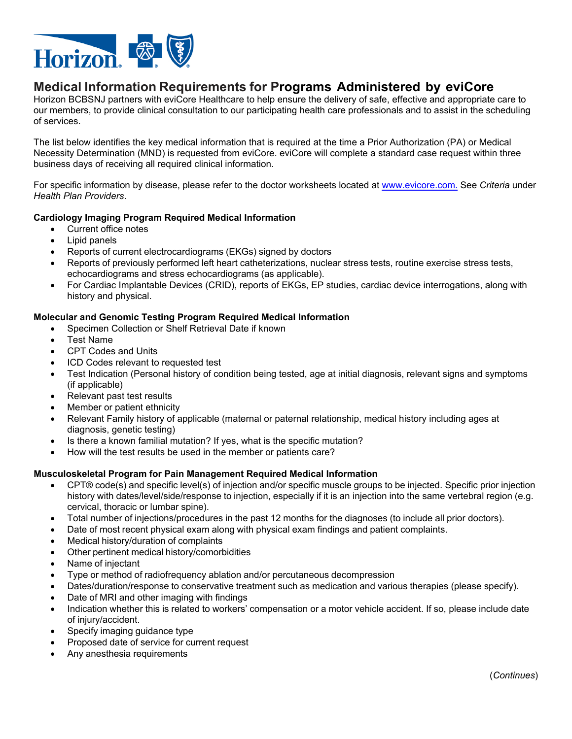

# **Medical Information Requirements for Programs Administered by eviCore**

Horizon BCBSNJ partners with eviCore Healthcare to help ensure the delivery of safe, effective and appropriate care to our members, to provide clinical consultation to our participating health care professionals and to assist in the scheduling of services.

The list below identifies the key medical information that is required at the time a Prior Authorization (PA) or Medical Necessity Determination (MND) is requested from eviCore. eviCore will complete a standard case request within three business days of receiving all required clinical information.

For specific information by disease, please refer to the doctor worksheets located at<www.evicore.com>. See *Criteria* under *Health Plan Providers*.

## **Cardiology Imaging Program Required Medical Information**

- Current office notes
- Lipid panels
- Reports of current electrocardiograms (EKGs) signed by doctors
- Reports of previously performed left heart catheterizations, nuclear stress tests, routine exercise stress tests, echocardiograms and stress echocardiograms (as applicable).
- For Cardiac Implantable Devices (CRID), reports of EKGs, EP studies, cardiac device interrogations, along with history and physical.

## **Molecular and Genomic Testing Program Required Medical Information**

- Specimen Collection or Shelf Retrieval Date if known
- Test Name
- CPT Codes and Units
- ICD Codes relevant to requested test
- Test Indication (Personal history of condition being tested, age at initial diagnosis, relevant signs and symptoms (if applicable)
- Relevant past test results
- Member or patient ethnicity
- Relevant Family history of applicable (maternal or paternal relationship, medical history including ages at diagnosis, genetic testing)
- Is there a known familial mutation? If yes, what is the specific mutation?
- How will the test results be used in the member or patients care?

## **Musculoskeletal Program for Pain Management Required Medical Information**

- cervical, thoracic or lumbar spine). CPT® code(s) and specific level(s) of injection and/or specific muscle groups to be injected. Specific prior injection history with dates/level/side/response to injection, especially if it is an injection into the same vertebral region (e.g.
- Total number of injections/procedures in the past 12 months for the diagnoses (to include all prior doctors).
- Date of most recent physical exam along with physical exam findings and patient complaints.
- Medical history/duration of complaints
- Other pertinent medical history/comorbidities
- Name of injectant
- Type or method of radiofrequency ablation and/or percutaneous decompression
- Dates/duration/response to conservative treatment such as medication and various therapies (please specify).
- Date of MRI and other imaging with findings
- Indication whether this is related to workers' compensation or a motor vehicle accident. If so, please include date of injury/accident.
- Specify imaging guidance type
- Proposed date of service for current request
- Any anesthesia requirements